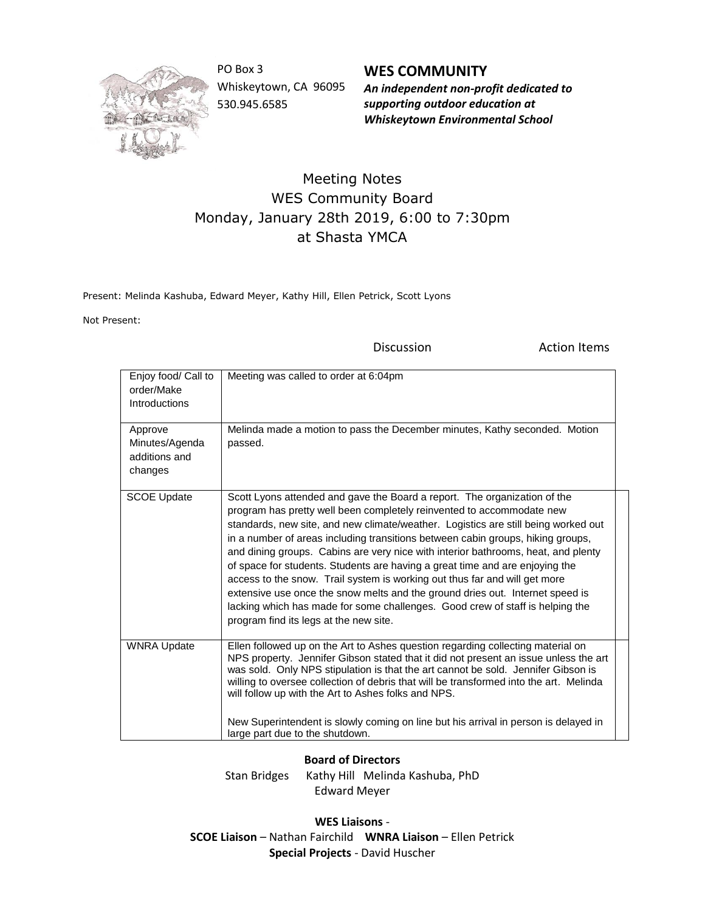

PO Box 3 Whiskeytown, CA 96095 530.945.6585

**WES COMMUNITY** *An independent non-profit dedicated to supporting outdoor education at Whiskeytown Environmental School*

## Meeting Notes WES Community Board Monday, January 28th 2019, 6:00 to 7:30pm at Shasta YMCA

Present: Melinda Kashuba, Edward Meyer, Kathy Hill, Ellen Petrick, Scott Lyons

Not Present:

Discussion **Action Items** 

| Enjoy food/ Call to<br>order/Make<br>Introductions<br>Approve<br>Minutes/Agenda<br>additions and<br>changes | Meeting was called to order at 6:04pm<br>Melinda made a motion to pass the December minutes, Kathy seconded. Motion<br>passed.                                                                                                                                                                                                                                                                                                                                                                                                                                                                                                                                                                                                                                                             |
|-------------------------------------------------------------------------------------------------------------|--------------------------------------------------------------------------------------------------------------------------------------------------------------------------------------------------------------------------------------------------------------------------------------------------------------------------------------------------------------------------------------------------------------------------------------------------------------------------------------------------------------------------------------------------------------------------------------------------------------------------------------------------------------------------------------------------------------------------------------------------------------------------------------------|
| <b>SCOE Update</b>                                                                                          | Scott Lyons attended and gave the Board a report. The organization of the<br>program has pretty well been completely reinvented to accommodate new<br>standards, new site, and new climate/weather. Logistics are still being worked out<br>in a number of areas including transitions between cabin groups, hiking groups,<br>and dining groups. Cabins are very nice with interior bathrooms, heat, and plenty<br>of space for students. Students are having a great time and are enjoying the<br>access to the snow. Trail system is working out thus far and will get more<br>extensive use once the snow melts and the ground dries out. Internet speed is<br>lacking which has made for some challenges. Good crew of staff is helping the<br>program find its legs at the new site. |
| <b>WNRA Update</b>                                                                                          | Ellen followed up on the Art to Ashes question regarding collecting material on<br>NPS property. Jennifer Gibson stated that it did not present an issue unless the art<br>was sold. Only NPS stipulation is that the art cannot be sold. Jennifer Gibson is<br>willing to oversee collection of debris that will be transformed into the art. Melinda<br>will follow up with the Art to Ashes folks and NPS.<br>New Superintendent is slowly coming on line but his arrival in person is delayed in<br>large part due to the shutdown.                                                                                                                                                                                                                                                    |

## **Board of Directors**

Stan Bridges Kathy Hill Melinda Kashuba, PhD Edward Meyer

**WES Liaisons** - **SCOE Liaison** – Nathan Fairchild **WNRA Liaison** – Ellen Petrick **Special Projects** - David Huscher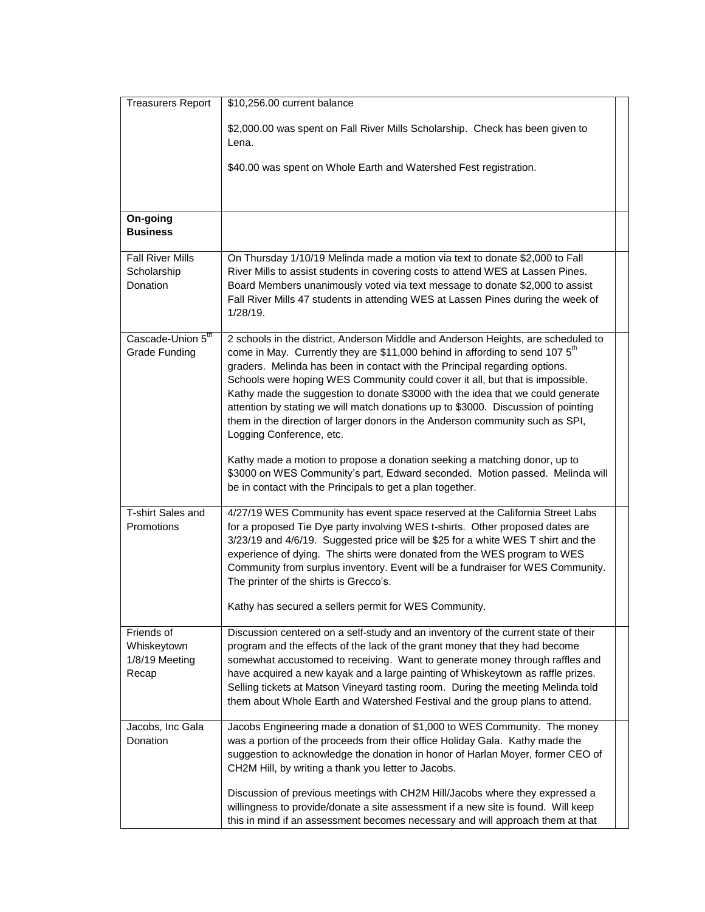| <b>Treasurers Report</b>                             | \$10,256.00 current balance                                                                                                                                                                                                                                                                                                                                                                                                                                                                                                                                                                                                       |
|------------------------------------------------------|-----------------------------------------------------------------------------------------------------------------------------------------------------------------------------------------------------------------------------------------------------------------------------------------------------------------------------------------------------------------------------------------------------------------------------------------------------------------------------------------------------------------------------------------------------------------------------------------------------------------------------------|
|                                                      | \$2,000.00 was spent on Fall River Mills Scholarship. Check has been given to<br>Lena.                                                                                                                                                                                                                                                                                                                                                                                                                                                                                                                                            |
|                                                      | \$40.00 was spent on Whole Earth and Watershed Fest registration.                                                                                                                                                                                                                                                                                                                                                                                                                                                                                                                                                                 |
| On-going<br><b>Business</b>                          |                                                                                                                                                                                                                                                                                                                                                                                                                                                                                                                                                                                                                                   |
| <b>Fall River Mills</b><br>Scholarship<br>Donation   | On Thursday 1/10/19 Melinda made a motion via text to donate \$2,000 to Fall<br>River Mills to assist students in covering costs to attend WES at Lassen Pines.<br>Board Members unanimously voted via text message to donate \$2,000 to assist<br>Fall River Mills 47 students in attending WES at Lassen Pines during the week of<br>1/28/19.                                                                                                                                                                                                                                                                                   |
| Cascade-Union 5th<br><b>Grade Funding</b>            | 2 schools in the district, Anderson Middle and Anderson Heights, are scheduled to<br>come in May. Currently they are \$11,000 behind in affording to send 107 5 <sup>th</sup><br>graders. Melinda has been in contact with the Principal regarding options.<br>Schools were hoping WES Community could cover it all, but that is impossible.<br>Kathy made the suggestion to donate \$3000 with the idea that we could generate<br>attention by stating we will match donations up to \$3000. Discussion of pointing<br>them in the direction of larger donors in the Anderson community such as SPI,<br>Logging Conference, etc. |
|                                                      | Kathy made a motion to propose a donation seeking a matching donor, up to<br>\$3000 on WES Community's part, Edward seconded. Motion passed. Melinda will<br>be in contact with the Principals to get a plan together.                                                                                                                                                                                                                                                                                                                                                                                                            |
| T-shirt Sales and<br>Promotions                      | 4/27/19 WES Community has event space reserved at the California Street Labs<br>for a proposed Tie Dye party involving WES t-shirts. Other proposed dates are<br>3/23/19 and 4/6/19. Suggested price will be \$25 for a white WES T shirt and the<br>experience of dying. The shirts were donated from the WES program to WES<br>Community from surplus inventory. Event will be a fundraiser for WES Community.<br>The printer of the shirts is Grecco's.                                                                                                                                                                        |
|                                                      | Kathy has secured a sellers permit for WES Community.                                                                                                                                                                                                                                                                                                                                                                                                                                                                                                                                                                             |
| Friends of<br>Whiskeytown<br>1/8/19 Meeting<br>Recap | Discussion centered on a self-study and an inventory of the current state of their<br>program and the effects of the lack of the grant money that they had become<br>somewhat accustomed to receiving. Want to generate money through raffles and<br>have acquired a new kayak and a large painting of Whiskeytown as raffle prizes.<br>Selling tickets at Matson Vineyard tasting room. During the meeting Melinda told<br>them about Whole Earth and Watershed Festival and the group plans to attend.                                                                                                                          |
| Jacobs, Inc Gala<br>Donation                         | Jacobs Engineering made a donation of \$1,000 to WES Community. The money<br>was a portion of the proceeds from their office Holiday Gala. Kathy made the<br>suggestion to acknowledge the donation in honor of Harlan Moyer, former CEO of<br>CH2M Hill, by writing a thank you letter to Jacobs.<br>Discussion of previous meetings with CH2M Hill/Jacobs where they expressed a                                                                                                                                                                                                                                                |
|                                                      | willingness to provide/donate a site assessment if a new site is found. Will keep<br>this in mind if an assessment becomes necessary and will approach them at that                                                                                                                                                                                                                                                                                                                                                                                                                                                               |